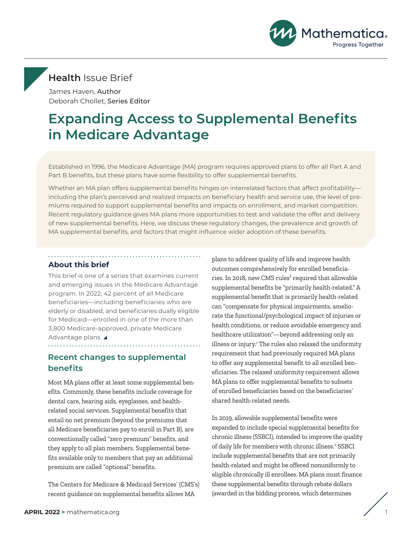

# <span id="page-0-0"></span>**Health** Issue Brief

James Haven, Author Deborah Chollet, Series Editor

# **Expanding Access to Supplemental Benefits in Medicare Advantage**

Established in 1996, the Medicare Advantage (MA) program requires approved plans to offer all Part A and Part B benefits, but these plans have some flexibility to offer supplemental benefits.

Whether an MA plan offers supplemental benefits hinges on interrelated factors that affect profitability including the plan's perceived and realized impacts on beneficiary health and service use, the level of premiums required to support supplemental benefits and impacts on enrollment, and market competition. Recent regulatory guidance gives MA plans more opportunities to test and validate the offer and delivery of new supplemental benefits. Here, we discuss these regulatory changes, the prevalence and growth of MA supplemental benefits, and factors that might influence wider adoption of these benefits.

### **About this brief**

This brief is one of a series that examines current and emerging issues in the Medicare Advantage program. In 2022, 42 percent of all Medicare beneficiaries—including beneficiaries who are elderly or disabled, and beneficiaries dually eligible for Medicaid—enrolled in one of the more than 3,800 Medicare-approved, private Medicare Advantage plans.

## **Recent changes to supplemental benefits**

Most MA plans offer at least some supplemental benefits. Commonly, these benefits include coverage for dental care, hearing aids, eyeglasses, and healthrelated social services. Supplemental benefits that entail no net premium (beyond the premiums that all Medicare beneficiaries pay to enroll in Part B), are conventionally called "zero premium" benefits, and they apply to all plan members. Supplemental benefits available only to members that pay an additional premium are called "optional" benefits.

The Centers for Medicare & Medicaid Services' (CMS's) recent guidance on supplemental benefits allows MA

plans to address quality of life and improve health outcomes comprehensively for enrolled beneficiaries. In 2018, new CMS rules<sup>1</sup> required that allowable supplemental benefits be "primarily health-related." A supplemental benefit that is primarily health-related can "compensate for physical impairments, ameliorate the functional/psychological impact of injuries or health conditions, or reduce avoidable emergency and healthcare utilization"—beyond addressing only an illness or injury.<sup>[1](#page-3-0)</sup> The rules also relaxed the uniformity requirement that had previously required MA plans to offer any supplemental benefit to all enrolled beneficiaries. The relaxed uniformity requirement allows MA plans to offer supplemental benefits to subsets of enrolled beneficiaries based on the beneficiaries' shared health-related needs.

In 2019, allowable supplemental benefits were expanded to include special supplemental benefits for chronic illness (SSBCI), intended to improve the quality of daily life for members with chronic illness.<sup>2</sup> SSBCI include supplemental benefits that are not primarily health-related and might be offered nonuniformly to eligible chronically ill enrollees. MA plans must finance these supplemental benefits through rebate dollars (awarded in the bidding process, which determines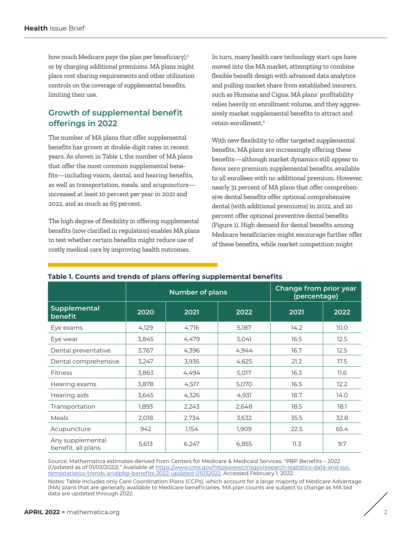<span id="page-1-0"></span>how much Medicare pays the plan per beneficiary),<sup>[3](#page-3-0)</sup> or by charging additional premiums. MA plans might place cost sharing requirements and other utilization controls on the coverage of supplemental benefits, limiting their use.

# **Growth of supplemental benefit offerings in 2022**

The number of MA plans that offer supplemental benefits has grown at double-digit rates in recent years. As shown in Table 1, the number of MA plans that offer the most common supplemental benefits—including vision, dental, and hearing benefits, as well as transportation, meals, and acupuncture increased at least 10 percent per year in 2021 and 2022, and as much as 65 percent.

The high degree of flexibility in offering supplemental benefits (now clarified in regulation) enables MA plans to test whether certain benefits might reduce use of costly medical care by improving health outcomes.

In turn, many health care technology start-ups have moved into the MA market, attempting to combine flexible benefit design with advanced data analytics and pulling market share from established insurers, such as Humana and Cigna. MA plans' profitability relies heavily on enrollment volume, and they aggressively market supplemental benefits to attract and retain enrollment.[4](#page-3-0)

With new flexibility to offer targeted supplemental benefits, MA plans are increasingly offering these benefits—although market dynamics still appear to favor zero premium supplemental benefits, available to all enrollees with no additional premium. However, nearly 31 percent of MA plans that offer comprehensive dental benefits offer optional comprehensive dental (with additional premiums) in 2022, and 20 percent offer optional preventive dental benefits (Figure 1). High demand for dental benefits among Medicare beneficiaries might encourage further offer of these benefits, while market competition might

|                                        | <b>Number of plans</b> |       |       | Change from prior year<br>(percentage) |      |
|----------------------------------------|------------------------|-------|-------|----------------------------------------|------|
| <b>Supplemental</b><br>benefit         | 2020                   | 2021  | 2022  | 2021                                   | 2022 |
| Eye exams                              | 4,129                  | 4,716 | 5,187 | 14.2                                   | 10.0 |
| Eye wear                               | 3,845                  | 4,479 | 5,041 | 16.5                                   | 12.5 |
| Dental preventative                    | 3,767                  | 4,396 | 4,944 | 16.7                                   | 12.5 |
| Dental comprehensive                   | 3,247                  | 3,935 | 4,625 | 21.2                                   | 17.5 |
| <b>Fitness</b>                         | 3,863                  | 4,494 | 5,017 | 16.3                                   | 11.6 |
| Hearing exams                          | 3,878                  | 4,517 | 5,070 | 16.5                                   | 12.2 |
| Hearing aids                           | 3,645                  | 4,326 | 4,931 | 18.7                                   | 14.0 |
| Transportation                         | 1,893                  | 2,243 | 2,648 | 18.5                                   | 18.1 |
| Meals                                  | 2,018                  | 2,734 | 3,632 | 35.5                                   | 32.8 |
| Acupuncture                            | 942                    | 1,154 | 1,909 | 22.5                                   | 65.4 |
| Any supplemental<br>benefit, all plans | 5,613                  | 6,247 | 6,855 | 11.3                                   | 9.7  |

### **Table 1. Counts and trends of plans offering supplemental benefits**

Source: Mathematica estimates derived from Centers for Medicare & Medicaid Services. "PBP Benefits – 2022 (Updated as of 01/03/2022)." Available at [https://www.cms.gov/httpswwwcmsgovresearch-statistics-data-and-sys](https://www.cms.gov/httpswwwcmsgovresearch-statistics-data-and-systemsstatistics-trends-and/pbp-benefits-2022-updated-01032022)[temsstatistics-trends-and/pbp-benefits-2022-updated-01032022](https://www.cms.gov/httpswwwcmsgovresearch-statistics-data-and-systemsstatistics-trends-and/pbp-benefits-2022-updated-01032022). Accessed February 1, 2022.

Notes: Table includes only Care Coordination Plans (CCPs), which account for a large majority of Medicare Advantage (MA) plans that are generally available to Medicare beneficiaries. MA plan counts are subject to change as MA bid data are updated through 2022.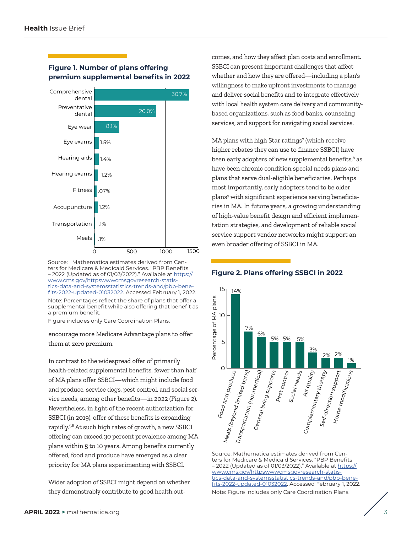

## <span id="page-2-0"></span>**Figure 1. Number of plans offering premium supplemental benefits in 2022**

Source: Mathematica estimates derived from Centers for Medicare & Medicaid Services. "PBP Benefits - 2022 (Updated as of 01/03/2022)." Available at [https://](https://www.cms.gov/httpswwwcmsgovresearch-statistics-data-and-systemsstatistics-trends-and/pbp-benefits-2022-updated-01032022) [www.cms.gov/httpswwwcmsgovresearch-statis](https://www.cms.gov/httpswwwcmsgovresearch-statistics-data-and-systemsstatistics-trends-and/pbp-benefits-2022-updated-01032022)[tics-data-and-systemsstatistics-trends-and/pbp-bene](https://www.cms.gov/httpswwwcmsgovresearch-statistics-data-and-systemsstatistics-trends-and/pbp-benefits-2022-updated-01032022)[fits-2022-updated-01032022](https://www.cms.gov/httpswwwcmsgovresearch-statistics-data-and-systemsstatistics-trends-and/pbp-benefits-2022-updated-01032022). Accessed February 1, 2022. Note: Percentages reflect the share of plans that offer a supplemental benefit while also offering that benefit as a premium benefit.

Figure includes only Care Coordination Plans.

encourage more Medicare Advantage plans to offer them at zero premium.

In contrast to the widespread offer of primarily health-related supplemental benefits, fewer than half of MA plans offer SSBCI—which might include food and produce, service dogs, pest control, and social service needs, among other benefits—in 2022 (Figure 2). Nevertheless, in light of the recent authorization for SSBCI (in 2019), offer of these benefits is expanding rapidly[.5,6](#page-3-0) At such high rates of growth, a new SSBCI offering can exceed 30 percent prevalence among MA plans within 5 to 10 years. Among benefits currently offered, food and produce have emerged as a clear priority for MA plans experimenting with SSBCI.

Wider adoption of SSBCI might depend on whether they demonstrably contribute to good health outcomes, and how they affect plan costs and enrollment. SSBCI can present important challenges that affect whether and how they are offered—including a plan's willingness to make upfront investments to manage and deliver social benefits and to integrate effectively with local health system care delivery and communitybased organizations, such as food banks, counseling services, and support for navigating social services.

MA plans with high Star ratings<sup>7</sup> (which receive higher rebates they can use to finance SSBCI) have been early adopters of new supplemental benefits,<sup>8</sup> as have been chronic condition special needs plans and plans that serve dual-eligible beneficiaries. Perhaps most importantly, early adopters tend to be older plans[9](#page-3-0) with significant experience serving beneficiaries in MA. In future years, a growing understanding of high-value benefit design and efficient implementation strategies, and development of reliable social service support vendor networks might support an even broader offering of SSBCI in MA.

### **Figure 2. Plans offering SSBCI in 2022**



Source: Mathematica estimates derived from Centers for Medicare & Medicaid Services. "PBP Benefits  $-2022$  (Updated as of 01/03/2022)." Available at [https://](https://www.cms.gov/httpswwwcmsgovresearch-statistics-data-and-systemsstatistics-trends-and/pbp-benefits-2022-updated-01032022) [www.cms.gov/httpswwwcmsgovresearch-statis](https://www.cms.gov/httpswwwcmsgovresearch-statistics-data-and-systemsstatistics-trends-and/pbp-benefits-2022-updated-01032022)[tics-data-and-systemsstatistics-trends-and/pbp-bene](https://www.cms.gov/httpswwwcmsgovresearch-statistics-data-and-systemsstatistics-trends-and/pbp-benefits-2022-updated-01032022)[fits-2022-updated-01032022.](https://www.cms.gov/httpswwwcmsgovresearch-statistics-data-and-systemsstatistics-trends-and/pbp-benefits-2022-updated-01032022) Accessed February 1, 2022. Note: Figure includes only Care Coordination Plans.